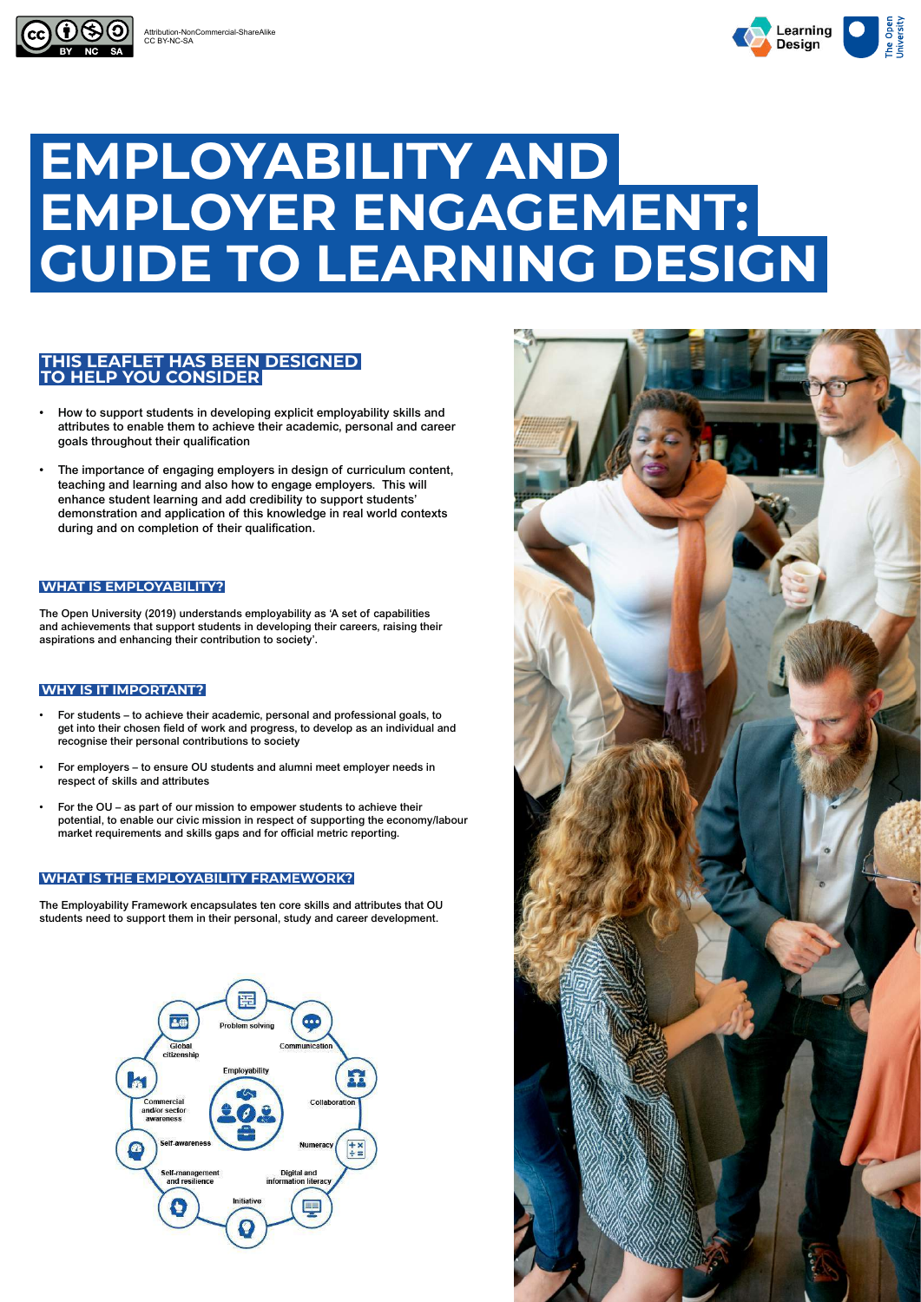# **EMPLOYABILITY AND EMPLOYER ENGAGEMENT: GUIDE TO LEARNING DESIGN**

- How to support students in developing explicit employability skills and attributes to enable them to achieve their academic, personal and career goals throughout their qualification
- The importance of engaging employers in design of curriculum content, teaching and learning and also how to engage employers. This will enhance student learning and add credibility to support students' demonstration and application of this knowledge in real world contexts during and on completion of their qualification.

### **THIS LEAFLET HAS BEEN DESIGNED TO HELP YOU CONSIDER**

The Open University (2019) understands employability as 'A set of capabilities and achievements that support students in developing their careers, raising their aspirations and enhancing their contribution to society'.

- For students to achieve their academic, personal and professional goals, to get into their chosen field of work and progress, to develop as an individual and recognise their personal contributions to society
- For employers to ensure OU students and alumni meet employer needs in respect of skills and attributes
- For the OU as part of our mission to empower students to achieve their potential, to enable our civic mission in respect of supporting the economy/labour market requirements and skills gaps and for official metric reporting.

The Employability Framework encapsulates ten core skills and attributes that OU students need to support them in their personal, study and career development.







#### **WHAT IS EMPLOYABILITY?**

#### **WHAT IS THE EMPLOYABILITY FRAMEWORK?**

#### **WHY IS IT IMPORTANT?**